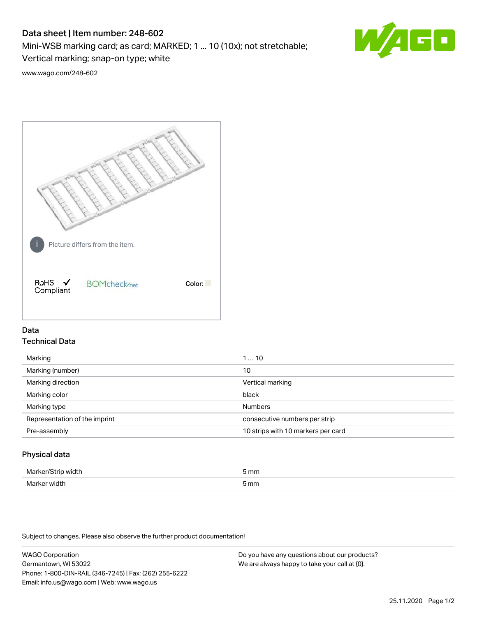# Data sheet | Item number: 248-602

Mini-WSB marking card; as card; MARKED; 1 ... 10 (10x); not stretchable;

Vertical marking; snap-on type; white

60

[www.wago.com/248-602](http://www.wago.com/248-602)



# Data Technical Data

| Marking                       | 110                                |
|-------------------------------|------------------------------------|
| Marking (number)              | 10                                 |
| Marking direction             | Vertical marking                   |
| Marking color                 | black                              |
| Marking type                  | <b>Numbers</b>                     |
| Representation of the imprint | consecutive numbers per strip      |
| Pre-assembly                  | 10 strips with 10 markers per card |
|                               |                                    |

## Physical data

| ۸Л: | mm   |
|-----|------|
|     |      |
| ۸Λ: | 5 mm |

Subject to changes. Please also observe the further product documentation!

WAGO Corporation Germantown, WI 53022 Phone: 1-800-DIN-RAIL (346-7245) | Fax: (262) 255-6222 Email: info.us@wago.com | Web: www.wago.us Do you have any questions about our products? We are always happy to take your call at {0}.